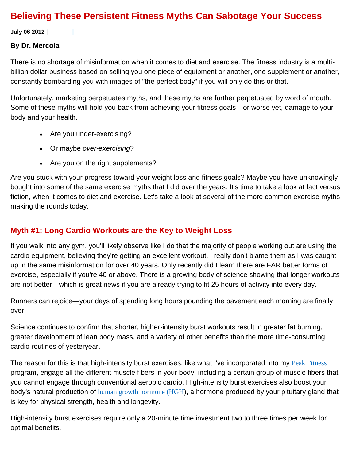## **Believing These Persistent Fitness Myths Can Sabotage Your Success**

**July 06 2012 |**

#### **By Dr. Mercola**

There is no shortage of misinformation when it comes to diet and exercise. The fitness industry is a multibillion dollar business based on selling you one piece of equipment or another, one supplement or another, constantly bombarding you with images of "the perfect body" if you will only do this or that.

Unfortunately, marketing perpetuates myths, and these myths are further perpetuated by word of mouth. Some of these myths will hold you back from achieving your fitness goals—or worse yet, damage to your body and your health.

- Are you under-exercising?
- Or maybe *over-exercising*?
- Are you on the right supplements?

Are you stuck with your progress toward your weight loss and fitness goals? Maybe you have unknowingly bought into some of the same exercise myths that I did over the years. It's time to take a look at fact versus fiction, when it comes to diet and exercise. Let's take a look at several of the more common exercise myths making the rounds today.

## **Myth #1: Long Cardio Workouts are the Key to Weight Loss**

If you walk into any gym, you'll likely observe like I do that the majority of people working out are using the cardio equipment, believing they're getting an excellent workout. I really don't blame them as I was caught up in the same misinformation for over 40 years. Only recently did I learn there are FAR better forms of exercise, especially if you're 40 or above. There is a growing body of science showing that longer workouts are not better—which is great news if you are already trying to fit 25 hours of activity into every day.

Runners can rejoice—your days of spending long hours pounding the pavement each morning are finally over!

Science continues to confirm that shorter, higher-intensity burst workouts result in greater fat burning, greater development of lean body mass, and a variety of other benefits than the more time-consuming cardio routines of yesteryear.

The reason for this is that high-intensity burst exercises, like what I've incorporated into my [Peak Fitness](http://fitness.mercola.com/sites/fitness/archive/2010/12/24/a-fountain-of-youth-in-your-muscles.aspx) program, engage all the different muscle fibers in your body, including a certain group of muscle fibers that you cannot engage through conventional aerobic cardio. High-intensity burst exercises also boost your body's natural production of [human growth hormone \(HGH](http://fitness.mercola.com/sites/fitness/archive/2010/12/24/a-fountain-of-youth-in-your-muscles.aspx)), a hormone produced by your pituitary gland that is key for physical strength, health and longevity.

High-intensity burst exercises require only a 20-minute time investment two to three times per week for optimal benefits.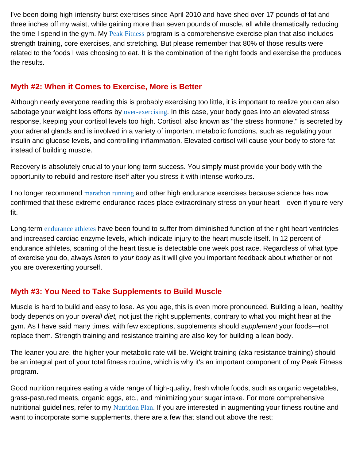I've been doing high-intensity burst exercises since April 2010 and have shed over 17 pounds of fat and three inches off my waist, while gaining more than seven pounds of muscle, all while dramatically reducing the time I spend in the gym. My [Peak Fitness](http://fitness.mercola.com/sites/fitness/archive/2010/11/13/phil-campbell-on-sprint-8-exercises.aspx) program is a comprehensive exercise plan that also includes strength training, core exercises, and stretching. But please remember that 80% of those results were related to the foods I was choosing to eat. It is the combination of the right foods and exercise the produces the results.

#### **Myth #2: When it Comes to Exercise, More is Better**

Although nearly everyone reading this is probably exercising too little, it is important to realize you can also sabotage your weight loss efforts by [over-exercising](http://articles.mercola.com/sites/articles/archive/2007/08/23/too-much-exercise-may-speed-heart-failure.aspx). In this case, your body goes into an elevated stress response, keeping your cortisol levels too high. Cortisol, also known as "the stress hormone," is secreted by your adrenal glands and is involved in a variety of important metabolic functions, such as regulating your insulin and glucose levels, and controlling inflammation. Elevated cortisol will cause your body to store fat instead of building muscle.

Recovery is absolutely crucial to your long term success. You simply must provide your body with the opportunity to rebuild and restore itself after you stress it with intense workouts.

I no longer recommend [marathon running](http://fitness.mercola.com/sites/fitness/archive/2011/06/10/the-marathon-myth-is-it-the-quickest-way-to-a-heart-attack.aspx) and other high endurance exercises because science has now confirmed that these extreme endurance races place extraordinary stress on your heart—even if you're very fit.

Long-term [endurance athletes](http://fitness.mercola.com/sites/fitness/archive/2012/01/25/cardio-may-damage-heart.aspx) have been found to suffer from diminished function of the right heart ventricles and increased cardiac enzyme levels, which indicate injury to the heart muscle itself. In 12 percent of endurance athletes, scarring of the heart tissue is detectable one week post race. Regardless of what type of exercise you do, always *listen to your body* as it will give you important feedback about whether or not you are overexerting yourself.

## **Myth #3: You Need to Take Supplements to Build Muscle**

Muscle is hard to build and easy to lose. As you age, this is even more pronounced. Building a lean, healthy body depends on your *overall diet,* not just the right supplements, contrary to what you might hear at the gym. As I have said many times, with few exceptions, supplements should *supplement* your foods—not replace them. Strength training and resistance training are also key for building a lean body.

The leaner you are, the higher your metabolic rate will be. Weight training (aka resistance training) should be an integral part of your total fitness routine, which is why it's an important component of my Peak Fitness program.

Good nutrition requires eating a wide range of high-quality, fresh whole foods, such as organic vegetables, grass-pastured meats, organic eggs, etc., and minimizing your sugar intake. For more comprehensive nutritional guidelines, refer to my [Nutrition Plan](http://www.mercola.com/nutritionplan/index.htm). If you are interested in augmenting your fitness routine and want to incorporate some supplements, there are a few that stand out above the rest: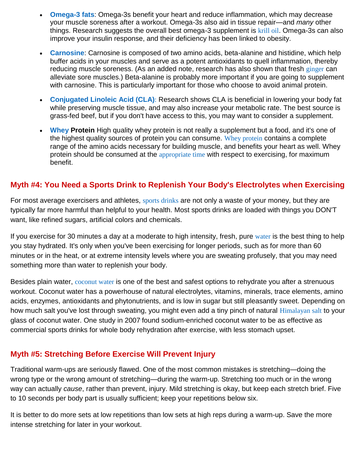- **[Omega-3 fats](http://articles.mercola.com/sites/articles/archive/2011/11/11/everything-you-need-to-know-about-fatty-acids.aspx)**: Omega-3s benefit your heart and reduce inflammation, which may decrease your muscle soreness after a workout. Omega-3s also aid in tissue repair—and *many* other things. Research suggests the overall best omega-3 supplement is [krill oil](http://articles.mercola.com/sites/articles/archive/2009/07/18/Can-Krill-Help-with-Weight-Reduction.aspx). Omega-3s can also improve your insulin response, and their deficiency has been linked to obesity.
- **[Carnosine](http://fitness.mercola.com/sites/fitness/archive/2011/09/11/why-muscles-are-sore-after-workouts.aspx)**: Carnosine is composed of two amino acids, beta-alanine and histidine, which help buffer acids in your muscles and serve as a potent antioxidants to quell inflammation, thereby reducing muscle soreness. (As an added note, research has also shown that fresh [ginger](http://fitness.mercola.com/sites/fitness/archive/2010/06/24/ginger-reduces-pain-after-exercise.aspx) can alleviate sore muscles.) Beta-alanine is probably more important if you are going to supplement with carnosine. This is particularly important for those who choose to avoid animal protein.
- **[Conjugated Linoleic Acid \(CLA\)](http://www.mercola.com/beef/cla.htm)**: Research shows CLA is beneficial in lowering your body fat while preserving muscle tissue, and may also increase your metabolic rate. The best source is grass-fed beef, but if you don't have access to this, you may want to consider a supplement.
- **[Whey](http://articles.mercola.com/sites/articles/archive/2010/10/23/ori-hofmekler-on-whey-protein.aspx) Protein** High quality whey protein is not really a supplement but a food, and it's one of the highest quality sources of protein you can consume. [Whey protein](http://fitness.mercola.com/sites/fitness/archive/2010/01/15/What-Should-You-Eat-After-Your-Workout.aspx) contains a complete range of the amino acids necessary for building muscle, and benefits your heart as well. Whey protein should be consumed at the [appropriate time](http://fitness.mercola.com/sites/fitness/archive/2011/08/05/5-diet-mistakes-that-prevent-workout-results.aspx) with respect to exercising, for maximum benefit.

#### **Myth #4: You Need a Sports Drink to Replenish Your Body's Electrolytes when Exercising**

For most average exercisers and athletes, [sports drinks](http://articles.mercola.com/sites/articles/archive/2009/04/23/Sports-Drinks-Rot-Your-Teeth.aspx) are not only a waste of your money, but they are typically far more harmful than helpful to your health. Most sports drinks are loaded with things you DON'T want, like refined sugars, artificial colors and chemicals.

If you exercise for 30 minutes a day at a moderate to high intensity, fresh, pure [water](http://articles.mercola.com/sites/articles/archive/2011/08/01/is-drinking-six-to-eight-cups-of-water-really-nonsense.aspx) is the best thing to help you stay hydrated. It's only when you've been exercising for longer periods, such as for more than 60 minutes or in the heat, or at extreme intensity levels where you are sweating profusely, that you may need something more than water to replenish your body.

Besides plain water, [coconut water](http://articles.mercola.com/sites/articles/archive/2011/11/27/coconut-water-ultimate-rehydrator.aspx) is one of the best and safest options to rehydrate you after a strenuous workout. Coconut water has a powerhouse of natural electrolytes, vitamins, minerals, trace elements, amino acids, enzymes, antioxidants and phytonutrients, and is low in sugar but still pleasantly sweet. Depending on how much salt you've lost through sweating, you might even add a tiny pinch of natural [Himalayan salt](http://articles.mercola.com/sites/articles/archive/2011/09/20/salt-myth.aspx) to your glass of coconut water. One study in 200[7](http://fitness.mercola.com/sites/fitness/archive/2012/07/06/persistent-fitness-myths.aspx#_edn1)i found sodium-enriched coconut water to be as effective as commercial sports drinks for whole body rehydration after exercise, with less stomach upset.

#### **Myth #5: Stretching Before Exercise Will Prevent Injury**

Traditional warm-ups are seriously flawed. One of the most common mistakes is stretching—doing the wrong type or the wrong amount of stretching—during the warm-up. Stretching too much or in the wrong way can actually *cause*, rather than prevent, injury. Mild stretching is okay, but keep each stretch brief. Five to 10 seconds per body part is usually sufficient; keep your repetitions below six.

It is better to do more sets at low repetitions than low sets at high reps during a warm-up. Save the more intense stretching for later in your workout.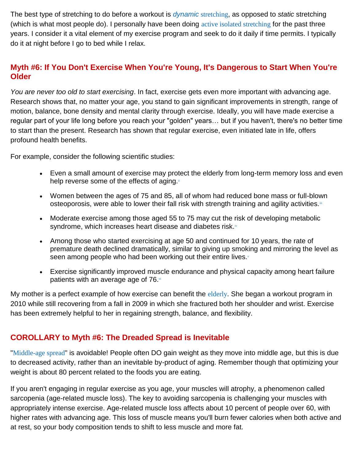The best type of stretching to do before a workout is *dynamic* [stretching](http://fitness.mercola.com/sites/fitness/archive/2011/04/04/the-3-mistakes-nearly-everyone-makes-in-their-fitness-warmup.aspx), as opposed to *static* stretching (which is what most people do). I personally have been doing [active isolated stretching](http://fitness.mercola.com/sites/fitness/archive/2010/08/19/failure-to-include-this-will-sabotage-your-exercise-program.aspx) for the past three years. I consider it a vital element of my exercise program and seek to do it daily if time permits. I typically do it at night before I go to bed while I relax.

#### **Myth #6: If You Don't Exercise When You're Young, It's Dangerous to Start When You're Older**

*You are never too old to start exercising*. In fact, exercise gets even more important with advancing age. Research shows that, no matter your age, you stand to gain significant improvements in strength, range of motion, balance, bone density and mental clarity through exercise. Ideally, you will have made exercise a regular part of your life long before you reach your "golden" years… but if you haven't, there's no better time to start than the present. Research has shown that regular exercise, even initiated late in life, offers profound health benefits.

For example, consider the following scientific studies:

- Even a small amount of exercise may protect the elderly from long-term memory loss and even help reverse some of the effects of aging[.](http://fitness.mercola.com/sites/fitness/archive/2012/07/06/persistent-fitness-myths.aspx#_edn1)
- Women between the ages of 75 and 85, all of whom had reduced bone mass or full-blown osteoporosis, were able to lower their fall risk with strength training and agility activities.<sup>iii</sup>
- Moderate exercise among those aged 55 to 75 may cut the risk of developing metabolic syndrome, which increases heart disease and diabetes risk.iv
- Among those who started exercising at age 50 and continued for 10 years, the rate of premature death declined dramatically, similar to giving up smoking and mirroring the level as seen among people who had been working out their entire lives[.](http://fitness.mercola.com/sites/fitness/archive/2012/07/06/persistent-fitness-myths.aspx#_edn1)
- Exercise significantly improved muscle endurance and physical capacity among heart failure patients with an average age of 76.

My mother is a perfect example of how exercise can benefit the [elderly](http://fitness.mercola.com/sites/fitness/archive/2011/09/30/you-are-never-too-old-to-start-exercising.aspx). She began a workout program in 2010 while still recovering from a fall in 2009 in which she fractured both her shoulder and wrist. Exercise has been extremely helpful to her in regaining strength, balance, and flexibility.

#### **COROLLARY to Myth #6: The Dreaded Spread is Inevitable**

"[Middle-age spread](http://fitness.mercola.com/sites/fitness/archive/2010/11/08/get-busy-if-you-want-to-beat-the-middleage-spread.aspx)" is avoidable! People often DO gain weight as they move into middle age, but this is due to decreased activity, rather than an inevitable by-product of aging. Remember though that optimizing your weight is about 80 percent related to the foods you are eating.

If you aren't engaging in regular exercise as you age, your muscles will atrophy, a phenomenon called sarcopenia (age-related muscle loss). The key to avoiding sarcopenia is challenging your muscles with appropriately intense exercise. Age-related muscle loss affects about 10 percent of people over 60, with higher rates with advancing age. This loss of muscle means you'll burn fewer calories when both active and at rest, so your body composition tends to shift to less muscle and more fat.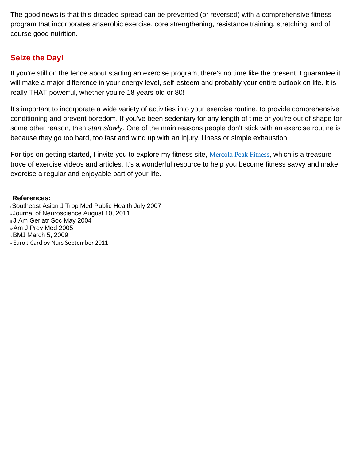The good news is that this dreaded spread can be prevented (or reversed) with a comprehensive fitness program that incorporates anaerobic exercise, core strengthening, resistance training, stretching, and of course good nutrition.

#### **Seize the Day!**

If you're still on the fence about starting an exercise program, there's no time like the present. I guarantee it will make a major difference in your energy level, self-esteem and probably your entire outlook on life. It is really THAT powerful, whether you're 18 years old or 80!

It's important to incorporate a wide variety of activities into your exercise routine, to provide comprehensive conditioning and prevent boredom. If you've been sedentary for any length of time or you're out of shape for some other reason, then *start slowly*. One of the main reasons people don't stick with an exercise routine is because they go too hard, too fast and wind up with an injury, illness or simple exhaustion.

For tips on getting started, I invite you to explore my fitness site, [Mercola Peak Fitness](http://fitness.mercola.com/), which is a treasure trove of exercise videos and articles. It's a wonderful resource to help you become fitness savvy and make exercise a regular and enjoyable part of your life.

#### **References:**

<sup>i</sup>Southeast Asian J Trop Med Public Health July 2007 ii Journal of Neuroscience August 10, 2011 iii J Am Geriatr Soc May 2004 iv Am J Prev Med 2005 <sup>v</sup>BMJ March 5, 2009 vi Euro J Cardiov Nurs September 2011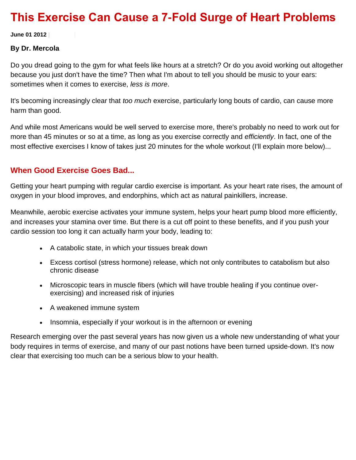## **This Exercise Can Cause a 7-Fold Surge of Heart Problems**

**June 01 2012 |**

#### **By Dr. Mercola**

Do you dread going to the gym for what feels like hours at a stretch? Or do you avoid working out altogether because you just don't have the time? Then what I'm about to tell you should be music to your ears: sometimes when it comes to exercise, *less is more*.

It's becoming increasingly clear that *too much* exercise, particularly long bouts of cardio, can cause more harm than good.

And while most Americans would be well served to exercise more, there's probably no need to work out for more than 45 minutes or so at a time, as long as you exercise correctly and *efficiently*. In fact, one of the most effective exercises I know of takes just 20 minutes for the whole workout (I'll explain more below)...

#### **When Good Exercise Goes Bad...**

Getting your heart pumping with regular cardio exercise is important. As your heart rate rises, the amount of oxygen in your blood improves, and endorphins, which act as natural painkillers, increase.

Meanwhile, aerobic exercise activates your immune system, helps your heart pump blood more efficiently, and increases your stamina over time. But there is a cut off point to these benefits, and if you push your cardio session too long it can actually harm your body, leading to:

- A catabolic state, in which your tissues break down
- Excess cortisol (stress hormone) release, which not only contributes to catabolism but also chronic disease
- Microscopic tears in muscle fibers (which will have trouble healing if you continue overexercising) and increased risk of injuries
- A weakened immune system
- Insomnia, especially if your workout is in the afternoon or evening

Research emerging over the past several years has now given us a whole new understanding of what your body requires in terms of exercise, and many of our past notions have been turned upside-down. It's now clear that exercising too much can be a serious blow to your health.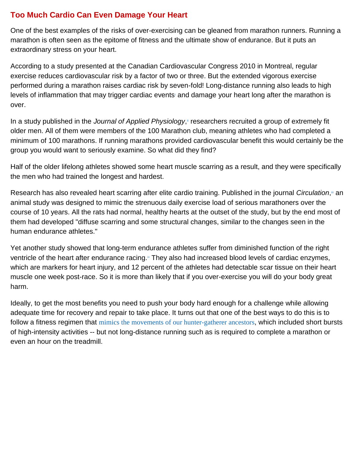#### **Too Much Cardio Can Even Damage Your Heart**

One of the best examples of the risks of over-exercising can be gleaned from marathon runners. Running a marathon is often seen as the epitome of fitness and the ultimate show of endurance. But it puts an extraordinary stress on your heart.

According to a study presented at the Canadian Cardiovascular Congress 2010 in Montreal, regular exercise reduces cardiovascular risk by a factor of two or three. But the extended vigorous exercise performed during a marathon raises cardiac risk by seven-fold! Long-distance running also leads to high level[s](http://fitness.mercola.com/sites/fitness/archive/2012/06/01/long-cardio-workout-dangers.aspx#_edn1) of inflammation that may trigger cardiac events and damage your heart long after the marathon is over.

In a study published in the *Journal of Applied Physiology*[,](http://fitness.mercola.com/sites/fitness/archive/2012/06/01/long-cardio-workout-dangers.aspx#_edn2)<sup>"</sup> researchers recruited a group of extremely fit older men. All of them were members of the 100 Marathon club, meaning athletes who had completed a minimum of 100 marathons. If running marathons provided cardiovascular benefit this would certainly be the group you would want to seriously examine. So what did they find?

Half of the older lifelong athletes showed some heart muscle scarring as a result, and they were specifically the men who had trained the longest and hardest.

Research has also revealed heart scarring after elite cardio training. Published in the journal *Circulation*[,](http://fitness.mercola.com/sites/fitness/archive/2012/06/01/long-cardio-workout-dangers.aspx#_edn3)<sup>"</sup> an animal study was designed to mimic the strenuous daily exercise load of serious marathoners over the course of 10 years. All the rats had normal, healthy hearts at the outset of the study, but by the end most of them had developed "diffuse scarring and some structural changes, similar to the changes seen in the human endurance athletes."

Yet another study showed that long-term endurance athletes suffer from diminished function of the right ventricle of the heart after endurance racing[.](http://fitness.mercola.com/sites/fitness/archive/2012/06/01/long-cardio-workout-dangers.aspx#_edn4)<sup>\*</sup> They also had increased blood levels of cardiac enzymes, which are markers for heart injury, and 12 percent of the athletes had detectable scar tissue on their heart muscle one week post-race. So it is more than likely that if you over-exercise you will do your body great harm.

Ideally, to get the most benefits you need to push your body hard enough for a challenge while allowing adequate time for recovery and repair to take place. It turns out that one of the best ways to do this is to follow a fitness regimen that mimics the [movements of our hunter-gatherer ancestors](http://fitness.mercola.com/sites/fitness/archive/2011/06/09/move-like-a-huntergatherer-live-longer.aspx), which included short bursts of high-intensity activities -- but not long-distance running such as is required to complete a marathon or even an hour on the treadmill.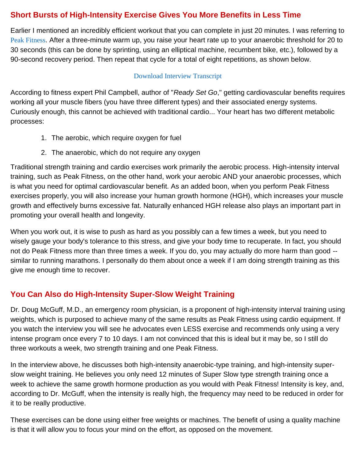#### **Short Bursts of High-Intensity Exercise Gives You More Benefits in Less Time**

Earlier I mentioned an incredibly efficient workout that you can complete in just 20 minutes. I was referring to [Peak Fitness](http://fitness.mercola.com/sites/fitness/archive/2010/06/26/10-minutes-of-exercise-yields-hourlong-effects.aspx). After a three-minute warm up, you raise your heart rate up to your anaerobic threshold for 20 to 30 seconds (this can be done by sprinting, using an elliptical machine, recumbent bike, etc.), followed by a 90-second recovery period. Then repeat that cycle for a total of eight repetitions, as shown below.

#### [Download Interview Transcript](http://mercola.fileburst.com/PDF/ExpertInterviewTranscripts/InterviewPhilCampbell.pdf)

According to fitness expert Phil Campbell, author of "*Ready Set Go*," getting cardiovascular benefits requires working all your muscle fibers (you have three different types) and their associated energy systems. Curiously enough, this cannot be achieved with traditional cardio... Your heart has two different metabolic processes:

- 1. The aerobic, which require oxygen for fuel
- 2. The anaerobic, which do not require any oxygen

Traditional strength training and cardio exercises work primarily the aerobic process. High-intensity interval training, such as Peak Fitness, on the other hand, work your aerobic AND your anaerobic processes, which is what you need for optimal cardiovascular benefit. As an added boon, when you perform Peak Fitness exercises properly, you will also increase your human growth hormone (HGH), which increases your muscle growth and effectively burns excessive fat. Naturally enhanced HGH release also plays an important part in promoting your overall health and longevity.

When you work out, it is wise to push as hard as you possibly can a few times a week, but you need to wisely gauge your body's tolerance to this stress, and give your body time to recuperate. In fact, you should not do Peak Fitness more than three times a week. If you do, you may actually do more harm than good - similar to running marathons. I personally do them about once a week if I am doing strength training as this give me enough time to recover.

## **You Can Also do High-Intensity Super-Slow Weight Training**

Dr. Doug McGuff, M.D., an emergency room physician, is a proponent of high-intensity interval training using weights, which is purposed to achieve many of the same results as Peak Fitness using cardio equipment. If you watch the interview you will see he advocates even LESS exercise and recommends only using a very intense program once every 7 to 10 days. I am not convinced that this is ideal but it may be, so I still do three workouts a week, two strength training and one Peak Fitness.

In the interview above, he discusses both high-intensity anaerobic-type training, and high-intensity superslow weight training. He believes you only need 12 minutes of Super Slow type strength training once a week to achieve the same growth hormone production as you would with Peak Fitness! Intensity is key, and, according to Dr. McGuff, when the intensity is really high, the frequency may need to be reduced in order for it to be really productive.

These exercises can be done using either free weights or machines. The benefit of using a quality machine is that it will allow you to focus your mind on the effort, as opposed on the movement.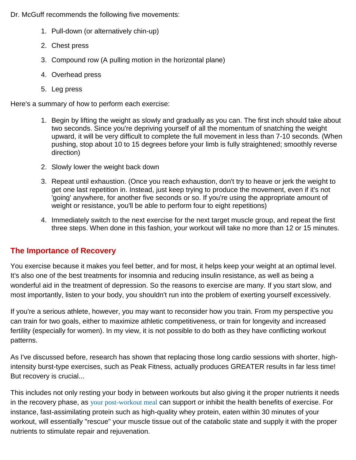Dr. McGuff recommends the following five movements:

- 1. Pull-down (or alternatively chin-up)
- 2. Chest press
- 3. Compound row (A pulling motion in the horizontal plane)
- 4. Overhead press
- 5. Leg press

Here's a summary of how to perform each exercise:

- 1. Begin by lifting the weight as slowly and gradually as you can. The first inch should take about two seconds. Since you're depriving yourself of all the momentum of snatching the weight upward, it will be very difficult to complete the full movement in less than 7-10 seconds. (When pushing, stop about 10 to 15 degrees before your limb is fully straightened; smoothly reverse direction)
- 2. Slowly lower the weight back down
- 3. Repeat until exhaustion. (Once you reach exhaustion, don't try to heave or jerk the weight to get one last repetition in. Instead, just keep trying to produce the movement, even if it's not 'going' anywhere, for another five seconds or so. If you're using the appropriate amount of weight or resistance, you'll be able to perform four to eight repetitions)
- 4. Immediately switch to the next exercise for the next target muscle group, and repeat the first three steps. When done in this fashion, your workout will take no more than 12 or 15 minutes.

#### **The Importance of Recovery**

You exercise because it makes you feel better, and for most, it helps keep your weight at an optimal level. It's also one of the best treatments for insomnia and reducing insulin resistance, as well as being a wonderful aid in the treatment of depression. So the reasons to exercise are many. If you start slow, and most importantly, listen to your body, you shouldn't run into the problem of exerting yourself excessively.

If you're a serious athlete, however, you may want to reconsider how you train. From my perspective you can train for two goals, either to maximize athletic competitiveness, or train for longevity and increased fertility (especially for women). In my view, it is not possible to do both as they have conflicting workout patterns.

As I've discussed before, research has shown that replacing those long cardio sessions with shorter, highintensity burst-type exercises, such as Peak Fitness, actually produces GREATER results in far less time! But recovery is crucial...

This includes not only resting your body in between workouts but also giving it the proper nutrients it needs in the recovery phase, as [your post-workout meal](http://fitness.mercola.com/sites/fitness/archive/2012/01/13/what-should-you-eat-after-your-workout.aspx) can support or inhibit the health benefits of exercise. For instance, fast-assimilating protein such as high-quality whey protein, eaten within 30 minutes of your workout, will essentially "rescue" your muscle tissue out of the catabolic state and supply it with the proper nutrients to stimulate repair and rejuvenation.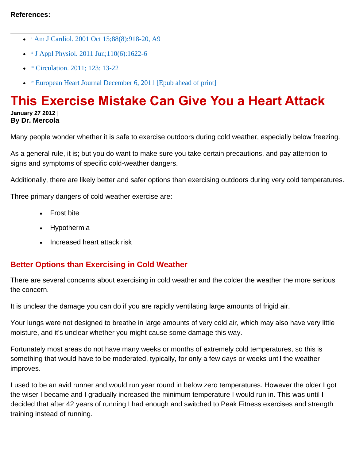- [i](http://fitness.mercola.com/sites/fitness/archive/2012/06/01/long-cardio-workout-dangers.aspx#_ednref1) [Am J Cardiol. 2001 Oct 15;88\(8\):918-20, A9](http://www.ncbi.nlm.nih.gov/pubmed/11676965)
- $\bullet$   $\text{ii}$  $\text{ii}$  $\text{ii}$  [J Appl Physiol. 2011 Jun;110\(6\):1622-6](http://www.ncbi.nlm.nih.gov/pubmed/21330616)
- **[iii](http://fitness.mercola.com/sites/fitness/archive/2012/06/01/long-cardio-workout-dangers.aspx#_ednref3)** [Circulation. 2011; 123: 13-22](http://circ.ahajournals.org/content/123/1/13.short)
- **[iv](http://fitness.mercola.com/sites/fitness/archive/2012/06/01/long-cardio-workout-dangers.aspx#_ednref4) [European Heart Journal December 6, 2011 \[Epub ahead of print\]](http://eurheartj.oxfordjournals.org/content/early/2011/12/05/eurheartj.ehr397.abstract)**

# **This Exercise Mistake Can Give You a Heart Attack**

**January 27 2012 | By Dr. Mercola**

Many people wonder whether it is safe to exercise outdoors during cold weather, especially below freezing.

As a general rule, it is; but you do want to make sure you take certain precautions, and pay attention to signs and symptoms of specific cold-weather dangers.

Additionally, there are likely better and safer options than exercising outdoors during very cold temperatures.

Three primary dangers of cold weather exercise are:

- Frost bite
- Hypothermia
- Increased heart attack risk

## **Better Options than Exercising in Cold Weather**

There are several concerns about exercising in cold weather and the colder the weather the more serious the concern.

It is unclear the damage you can do if you are rapidly ventilating large amounts of frigid air.

Your lungs were not designed to breathe in large amounts of very cold air, which may also have very little moisture, and it's unclear whether you might cause some damage this way.

Fortunately most areas do not have many weeks or months of extremely cold temperatures, so this is something that would have to be moderated, typically, for only a few days or weeks until the weather improves.

I used to be an avid runner and would run year round in below zero temperatures. However the older I got the wiser I became and I gradually increased the minimum temperature I would run in. This was until I decided that after 42 years of running I had enough and switched to Peak Fitness exercises and strength training instead of running.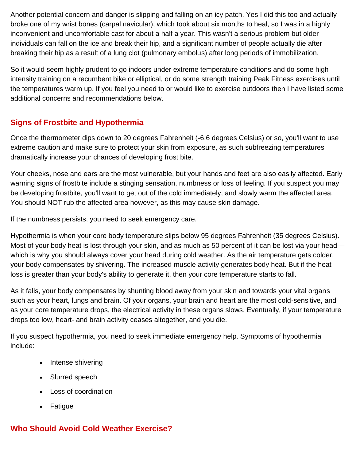Another potential concern and danger is slipping and falling on an icy patch. Yes I did this too and actually broke one of my wrist bones (carpal navicular), which took about six months to heal, so I was in a highly inconvenient and uncomfortable cast for about a half a year. This wasn't a serious problem but older individuals can fall on the ice and break their hip, and a significant number of people actually die after breaking their hip as a result of a lung clot (pulmonary embolus) after long periods of immobilization.

So it would seem highly prudent to go indoors under extreme temperature conditions and do some high intensity training on a recumbent bike or elliptical, or do some strength training Peak Fitness exercises until the temperatures warm up. If you feel you need to or would like to exercise outdoors then I have listed some additional concerns and recommendations below.

#### **Signs of Frostbite and Hypothermia**

Once the thermometer dips down to 20 degrees Fahrenheit (-6.6 degrees Celsius) or so, you'll want to use extreme caution and make sure to protect your skin from exposure, as such subfreezing temperatures dramatically increase your chances of developing frost bite.

Your cheeks, nose and ears are the most vulnerable, but your hands and feet are also easily affected. Early warning signs of frostbite include a stinging sensation, numbness or loss of feeling. If you suspect you may be developing frostbite, you'll want to get out of the cold immediately, and slowly warm the affected area. You should NOT rub the affected area however, as this may cause skin damage.

If the numbness persists, you need to seek emergency care.

Hypothermia is when your core body temperature slips below 95 degrees Fahrenheit (35 degrees Celsius). Most of your body heat is lost through your skin, and as much as 50 percent of it can be lost via your head which is why you should always cover your head during cold weather. As the air temperature gets colder, your body compensates by shivering. The increased muscle activity generates body heat. But if the heat loss is greater than your body's ability to generate it, then your core temperature starts to fall.

As it falls, your body compensates by shunting blood away from your skin and towards your vital organs such as your heart, lungs and brain. Of your organs, your brain and heart are the most cold-sensitive, and as your core temperature drops, the electrical activity in these organs slows. Eventually, if your temperature drops too low, heart- and brain activity ceases altogether, and you die.

If you suspect hypothermia, you need to seek immediate emergency help. Symptoms of hypothermia include:

- Intense shivering
- Slurred speech
- Loss of coordination
- Fatigue

## **Who Should Avoid Cold Weather Exercise?**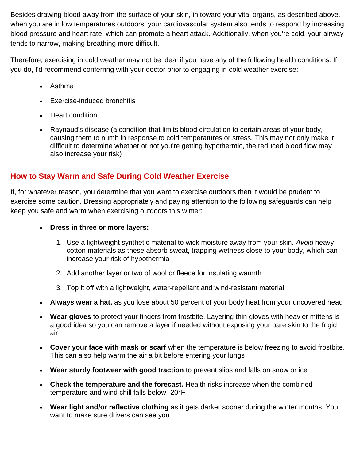Besides drawing blood away from the surface of your skin, in toward your vital organs, as described above, when you are in low temperatures outdoors, your cardiovascular system also tends to respond by increasing blood pressure and heart rate, which can promote a heart attack. Additionally, when you're cold, your airway tends to narrow, making breathing more difficult.

Therefore, exercising in cold weather may not be ideal if you have any of the following health conditions. If you do, I'd recommend conferring with your doctor prior to engaging in cold weather exercise:

- Asthma
- Exercise-induced bronchitis
- Heart condition
- Raynaud's disease (a condition that limits blood circulation to certain areas of your body, causing them to numb in response to cold temperatures or stress. This may not only make it difficult to determine whether or not you're getting hypothermic, the reduced blood flow may also increase your risk)

## **How to Stay Warm and Safe During Cold Weather Exercise**

If, for whatever reason, you determine that you want to exercise outdoors then it would be prudent to exercise some caution. Dressing appropriately and paying attention to the following safeguards can help keep you safe and warm when exercising outdoors this winter:

- **Dress in three or more layers:** 
	- 1. Use a lightweight synthetic material to wick moisture away from your skin. *Avoid* heavy cotton materials as these absorb sweat, trapping wetness close to your body, which can increase your risk of hypothermia
	- 2. Add another layer or two of wool or fleece for insulating warmth
	- 3. Top it off with a lightweight, water-repellant and wind-resistant material
- **Always wear a hat,** as you lose about 50 percent of your body heat from your uncovered head
- **Wear gloves** to protect your fingers from frostbite. Layering thin gloves with heavier mittens is a good idea so you can remove a layer if needed without exposing your bare skin to the frigid air
- **Cover your face with mask or scarf** when the temperature is below freezing to avoid frostbite. This can also help warm the air a bit before entering your lungs
- **Wear sturdy footwear with good traction** to prevent slips and falls on snow or ice
- **Check the temperature and the forecast.** Health risks increase when the combined temperature and wind chill falls below -20°F
- **Wear light and/or reflective clothing** as it gets darker sooner during the winter months. You want to make sure drivers can see you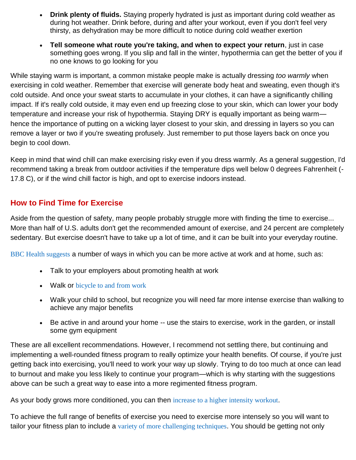- **Drink plenty of fluids.** Staying properly hydrated is just as important during cold weather as during hot weather. Drink before, during and after your workout, even if you don't feel very thirsty, as dehydration may be more difficult to notice during cold weather exertion
- **Tell someone what route you're taking, and when to expect your return**, just in case something goes wrong. If you slip and fall in the winter, hypothermia can get the better of you if no one knows to go looking for you

While staying warm is important, a common mistake people make is actually dressing *too warmly* when exercising in cold weather. Remember that exercise will generate body heat and sweating, even though it's cold outside. And once your sweat starts to accumulate in your clothes, it can have a significantly chilling impact. If it's really cold outside, it may even end up freezing close to your skin, which can lower your body temperature and increase your risk of hypothermia. Staying DRY is equally important as being warm hence the importance of putting on a wicking layer closest to your skin, and dressing in layers so you can remove a layer or two if you're sweating profusely. Just remember to put those layers back on once you begin to cool down.

Keep in mind that wind chill can make exercising risky even if you dress warmly. As a general suggestion, I'd recommend taking a break from outdoor activities if the temperature dips well below 0 degrees Fahrenheit (- 17.8 C), or if the wind chill factor is high, and opt to exercise indoors instead.

#### **How to Find Time for Exercise**

Aside from the question of safety, many people probably struggle more with finding the time to exercise... More than half of U.S. adults don't get the recommended amount of exercise, and 24 percent are completely sedentary. But exercise doesn't have to take up a lot of time, and it *can* be built into your everyday routine.

[BBC Health suggests](http://www.bbc.co.uk/health/treatments/healthy_living/fitness/daily_findtime.shtml) a number of ways in which you can be more active at work and at home, such as:

- Talk to your employers about promoting health at work
- Walk or [bicycle to and from work](http://articles.mercola.com/sites/articles/archive/2010/04/03/google-launches-new-way-to-find-bicycling-trails.aspx)
- Walk your child to school, but recognize you will need far more intense exercise than walking to achieve any major benefits
- Be active in and around your home -- use the stairs to exercise, work in the garden, or install some gym equipment

These are all excellent recommendations. However, I recommend not settling there, but continuing and implementing a well-rounded fitness program to really optimize your health benefits. Of course, if you're just getting back into exercising, you'll need to work your way up slowly. Trying to do too much at once can lead to burnout and make you less likely to continue your program—which is why starting with the suggestions above can be such a great way to ease into a more regimented fitness program.

As your body grows more conditioned, you can then [increase to a higher intensity workout](http://fitness.mercola.com/sites/fitness/archive/2010/11/13/phil-campbell-on-peak-8-exercises.aspx).

To achieve the full range of benefits of exercise you need to exercise more intensely so you will want to tailor your fitness plan to include a [variety of more challenging techniques](http://articles.mercola.com/sites/articles/archive/2009/04/28/Primary-Principles-of-Exercise-Aerobic-Interval-Strength-Core.aspx). You should be getting not only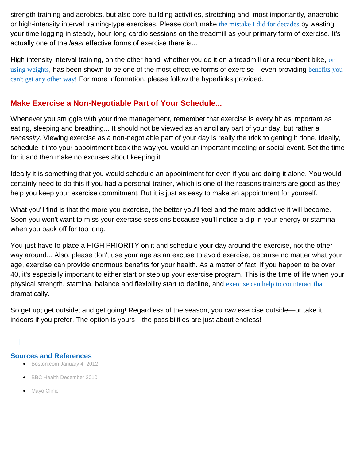strength training and aerobics, but also core-building activities, stretching and, most importantly, anaerobic or high-intensity interval training-type exercises. Please don't make [the mistake I did for decades](http://fitness.mercola.com/sites/fitness/archive/2010/06/26/10-minutes-of-exercise-yields-hourlong-effects.aspx) by wasting your time logging in steady, hour-long cardio sessions on the treadmill as your primary form of exercise. It's actually one of the *least* effective forms of exercise there is...

High intensity interval training, on the other hand, whether you do it on a treadmill [or](http://fitness.mercola.com/sites/fitness/archive/2012/01/06/dr-doug-mcguff-on-exercise.aspx) a recumbent bike, or [using weights](http://fitness.mercola.com/sites/fitness/archive/2012/01/06/dr-doug-mcguff-on-exercise.aspx), has been shown to be one of the most effective forms of exercise—even providing benefits you [can't get any other way!](http://fitness.mercola.com/sites/fitness/archive/2010/12/24/a-fountain-of-youth-in-your-muscles.aspx) For more information, please follow the hyperlinks provided.

#### **Make Exercise a Non-Negotiable Part of Your Schedule...**

Whenever you struggle with your time management, remember that exercise is every bit as important as eating, sleeping and breathing... It should not be viewed as an ancillary part of your day, but rather a *necessity*. Viewing exercise as a non-negotiable part of your day is really the trick to getting it done. Ideally, schedule it into your appointment book the way you would an important meeting or social event. Set the time for it and then make no excuses about keeping it.

Ideally it is something that you would schedule an appointment for even if you are doing it alone. You would certainly need to do this if you had a personal trainer, which is one of the reasons trainers are good as they help you keep your exercise commitment. But it is just as easy to make an appointment for yourself.

What you'll find is that the more you exercise, the better you'll feel and the more addictive it will become. Soon you won't want to miss your exercise sessions because you'll notice a dip in your energy or stamina when you back off for too long.

You just have to place a HIGH PRIORITY on it and schedule your day around the exercise, not the other way around... Also, please don't use your age as an excuse to avoid exercise, because no matter what your age, exercise can provide enormous benefits for your health. As a matter of fact, if you happen to be over 40, it's especially important to either start or step up your exercise program. This is the time of life when your physical strength, stamina, balance and flexibility start to decline, and [exercise can help to counteract that](http://fitness.mercola.com/sites/fitness/archive/2010/11/08/get-busy-if-you-want-to-beat-the-middleage-spread.aspx) dramatically.

So get up; get outside; and get going! Regardless of the season, you *can* exercise outside—or take it indoors if you prefer. The option is yours—the possibilities are just about endless!

#### **Sources and References**

- [Boston.com January 4, 2012](http://www.boston.com/Boston/dailydose/2012/01/cold-weather-exercise-tips/5hJBmyYN4VQ59iujhNkwlN/index.html)
- [BBC Health December 2010](http://www.bbc.co.uk/health/treatments/healthy_living/fitness/daily_findtime.shtml)
- [Mayo Clinic](http://www.mayoclinic.com/health/fitness/HQ01681)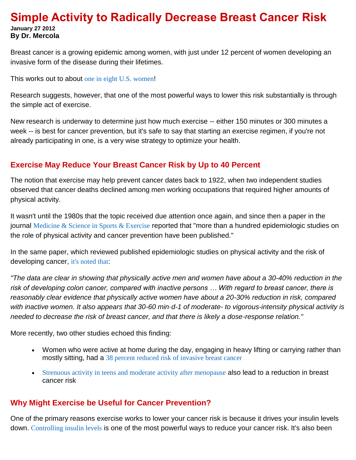#### **Simple Activity to Radically Decrease Breast Cancer Risk January 27 2012 By Dr. Mercola**

Breast cancer is a growing epidemic among women, with just under 12 percent of women developing an invasive form of the disease during their lifetimes.

This works out to about [one in eight U.S. women](http://www.breastcancer.org/symptoms/understand_bc/statistics.jsp)!

Research suggests, however, that one of the most powerful ways to lower this risk substantially is through the simple act of exercise.

New research is underway to determine just how much exercise -- either 150 minutes or 300 minutes a week -- is best for cancer prevention, but it's safe to say that starting an exercise regimen, if you're not already participating in one, is a very wise strategy to optimize your health.

#### **Exercise May Reduce Your Breast Cancer Risk by Up to 40 Percent**

The notion that exercise may help prevent cancer dates back to 1922, when two independent studies observed that cancer deaths declined among men working occupations that required higher amounts of physical activity.

It wasn't until the 1980s that the topic received due attention once again, and since then a paper in the journal [Medicine & Science in Sports & Exercise](http://journals.lww.com/acsm-msse/Abstract/2003/11000/Physical_Activity_and_Cancer_Prevention_Data_from.7.aspx) reported that "more than a hundred epidemiologic studies on the role of physical activity and cancer prevention have been published."

In the same paper, which reviewed published epidemiologic studies on physical activity and the risk of developing cancer, [it's noted that](http://journals.lww.com/acsm-msse/Abstract/2003/11000/Physical_Activity_and_Cancer_Prevention_Data_from.7.aspx):

*"The data are clear in showing that physically active men and women have about a 30-40% reduction in the risk of developing colon cancer, compared with inactive persons … With regard to breast cancer, there is reasonably clear evidence that physically active women have about a 20-30% reduction in risk, compared with inactive women. It also appears that 30-60 min·d-1 of moderate- to vigorous-intensity physical activity is needed to decrease the risk of breast cancer, and that there is likely a dose-response relation."* 

More recently, two other studies echoed this finding:

- Women who were active at home during the day, engaging in heavy lifting or carrying rather than mostly sitting, had a [38 percent reduced risk of invasive breast cancer](http://www.ncbi.nlm.nih.gov/pubmed/20864719)
- [Strenuous activity in teens and moderate activity after menopause](http://www.ncbi.nlm.nih.gov/pubmed/20607384) also lead to a reduction in breast cancer risk

#### **Why Might Exercise be Useful for Cancer Prevention?**

One of the primary reasons exercise works to lower your cancer risk is because it drives your insulin levels down. [Controlling insulin levels](http://articles.mercola.com/sites/articles/archive/2001/07/14/insulin-part-one.aspx) is one of the most powerful ways to reduce your cancer risk. It's also been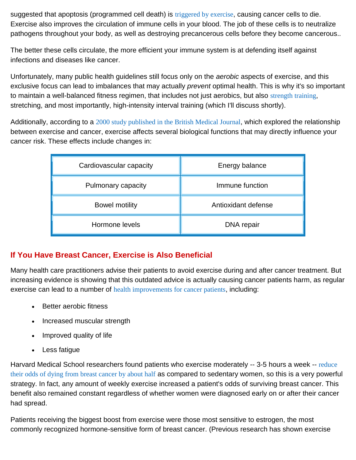suggested that apoptosis (programmed cell death) is [triggered by exercise](http://articles.mercola.com/sites/articles/archive/2006/06/01/how-exercise-protects-you-from-cancer.aspx), causing cancer cells to die. Exercise also improves the circulation of immune cells in your blood. The job of these cells is to neutralize pathogens throughout your body, as well as destroying precancerous cells before they become cancerous..

The better these cells circulate, the more efficient your immune system is at defending itself against infections and diseases like cancer.

Unfortunately, many public health guidelines still focus only on the *aerobic* aspects of exercise, and this exclusive focus can lead to imbalances that may actually *prevent* optimal health. This is why it's so important to maintain a well-balanced fitness regimen, that includes not just aerobics, but also [strength training](http://articles.mercola.com/sites/articles/archive/2009/06/13/What-Surprising-Exercise-Cuts-Your-Cancer-Risk-by-40-Percent.aspx), stretching, and most importantly, high-intensity interval training (which I'll discuss shortly).

Additionally, according to a [2000 study published in the British Medical Journal](http://www.bmj.com/content/321/7274/1424.extract), which explored the relationship between exercise and cancer, exercise affects several biological functions that may directly influence your cancer risk. These effects include changes in:

| Cardiovascular capacity | Energy balance      |
|-------------------------|---------------------|
| Pulmonary capacity      | Immune function     |
| <b>Bowel motility</b>   | Antioxidant defense |
| Hormone levels          | DNA repair          |

## **If You Have Breast Cancer, Exercise is Also Beneficial**

Many health care practitioners advise their patients to avoid exercise during and after cancer treatment. But increasing evidence is showing that this outdated advice is actually causing cancer patients harm, as regular exercise can lead to a number of [health improvements for cancer patients](http://fitness.mercola.com/sites/fitness/archive/2011/09/02/the-new-natural-wonder-drug-for-cancer.aspx), including:

- Better aerobic fitness
- Increased muscular strength
- Improved quality of life
- Less fatigue

Harvard Medical School researchers found patients who exercise moderately -- 3-5 hours a week -- reduce [their odds of dying from breast cancer by about half](http://jama.ama-assn.org/content/293/20/2479.abstract?maxtoshow=&HITS=10&hits=10&RESULTFORMAT=&fulltext=breast+cancer&searchid=1117117851790_2027&stored_search=&FIRSTINDEX=0&journalcode=jama) as compared to sedentary women, so this is a very powerful strategy. In fact, any amount of weekly exercise increased a patient's odds of surviving breast cancer. This benefit also remained constant regardless of whether women were diagnosed early on or after their cancer had spread.

Patients receiving the biggest boost from exercise were those most sensitive to estrogen, the most commonly recognized hormone-sensitive form of breast cancer. (Previous research has shown exercise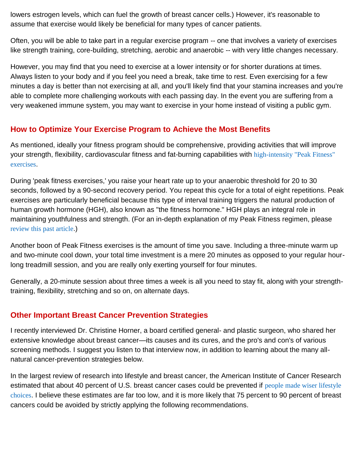lowers estrogen levels, which can fuel the growth of breast cancer cells.) However, it's reasonable to assume that exercise would likely be beneficial for many types of cancer patients.

Often, you will be able to take part in a regular exercise program -- one that involves a variety of exercises like strength training, core-building, stretching, aerobic and anaerobic -- with very little changes necessary.

However, you may find that you need to exercise at a lower intensity or for shorter durations at times. Always listen to your body and if you feel you need a break, take time to rest. Even exercising for a few minutes a day is better than not exercising at all, and you'll likely find that your stamina increases and you're able to complete more challenging workouts with each passing day. In the event you are suffering from a very weakened immune system, you may want to exercise in your home instead of visiting a public gym.

#### **How to Optimize Your Exercise Program to Achieve the Most Benefits**

As mentioned, ideally your fitness program should be comprehensive, providing activities that will improve your strength, flexibility, cardiovascular fitness and fat-burning capabilities with [high-intensity "Peak Fitness"](http://fitness.mercola.com/sites/fitness/archive/2010/11/13/phil-campbell-on-peak-8-exercises.aspx)  [exercises](http://fitness.mercola.com/sites/fitness/archive/2010/11/13/phil-campbell-on-peak-8-exercises.aspx).

During 'peak fitness exercises,' you raise your heart rate up to your anaerobic threshold for 20 to 30 seconds, followed by a 90-second recovery period. You repeat this cycle for a total of eight repetitions. Peak exercises are particularly beneficial because this type of interval training triggers the natural production of human growth hormone (HGH), also known as "the fitness hormone." HGH plays an integral role in maintaining youthfulness and strength. (For an in-depth explanation of my Peak Fitness regimen, please [review this past article](http://fitness.mercola.com/sites/fitness/archive/2010/06/26/10-minutes-of-exercise-yields-hourlong-effects.aspx).)

Another boon of Peak Fitness exercises is the amount of time you save. Including a three-minute warm up and two-minute cool down, your total time investment is a mere 20 minutes as opposed to your regular hourlong treadmill session, and you are really only exerting yourself for four minutes.

Generally, a 20-minute session about three times a week is all you need to stay fit, along with your strengthtraining, flexibility, stretching and so on, on alternate days.

#### **Other Important Breast Cancer Prevention Strategies**

I recently interviewed Dr. Christine Horner, a board certified general- and plastic surgeon, who shared her extensive knowledge about breast cancer—its causes and its cures, and the pro's and con's of various screening methods. I suggest you listen to that interview now, in addition to learning about the many allnatural cancer-prevention strategies below.

In the largest review of research into lifestyle and breast cancer, the American Institute of Cancer Research estimated that about 40 percent of U.S. breast cancer cases could be prevented if people made wiser lifestyle [choices](http://articles.mercola.com/sites/articles/archive/2009/10/10/Simple-Steps-to-Lower-Your-Breast-Cancer-Risk.aspx). I believe these estimates are far too low, and it is more likely that 75 percent to 90 percent of breast cancers could be avoided by strictly applying the following recommendations.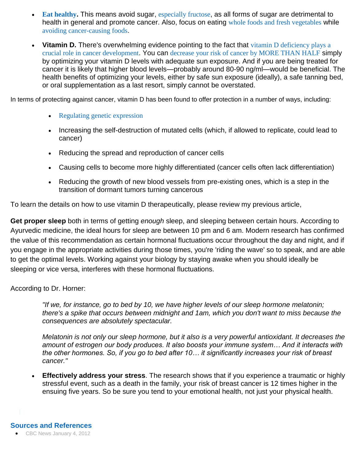- **[Eat healthy](http://www.mercola.com/nutritionplan/index.htm).** This means avoid sugar, [especially fructose](http://articles.mercola.com/sites/articles/archive/2010/01/02/highfructose-corn-syrup-alters-human-metabolism.aspx), as all forms of sugar are detrimental to health in general and promote cancer. Also, focus on eating [whole foods and fresh vegetables](http://articles.mercola.com/sites/articles/archive/2011/05/26/can-these-vegetables-fight-breast-cancer.aspx) while [avoiding cancer-causing foods](http://articles.mercola.com/sites/articles/archive/2012/01/14/dr-christine-horner-interview.aspx).
- Vitamin D. There's overwhelming evidence pointing to the fact that vitamin D deficiency plays a [crucial role in cancer development](http://articles.mercola.com/sites/articles/archive/2009/06/11/New-Model-Of-Cancer-Development-Vitamin-D-is-the-Key.aspx). You can [decrease your risk of cancer by MORE THAN HALF](http://blogs.mercola.com/sites/vitalvotes/archive/2007/06/11/New-Evidence-Sunshine-DOES-Slash-Your-Cancer-Risk.aspx) simply by optimizing your vitamin D levels with adequate sun exposure. And if you are being treated for cancer it is likely that higher blood levels—probably around 80-90 ng/ml—would be beneficial. The health benefits of optimizing your levels, either by safe sun exposure (ideally), a safe tanning bed, or oral supplementation as a last resort, simply cannot be overstated.

In terms of protecting against cancer, vitamin D has been found to offer protection in a number of ways, including:

- [Regulating genetic expression](http://articles.mercola.com/sites/articles/archive/2009/03/12/vitamin-d--the-master-key-to-optimal-health.aspx)
- Increasing the self-destruction of mutated cells (which, if allowed to replicate, could lead to cancer)
- Reducing the spread and reproduction of cancer cells
- Causing cells to become more highly differentiated (cancer cells often lack differentiation)
- Reducing the growth of new blood vessels from pre-existing ones, which is a step in the transition of dormant tumors turning cancerous

To learn the details on how to use vitamin D therapeutically, please review my previous article,

**Get proper sleep** both in terms of getting *enough* sleep, and sleeping between certain hours. According to Ayurvedic medicine, the ideal hours for sleep are between 10 pm and 6 am. Modern research has confirmed the value of this recommendation as certain hormonal fluctuations occur throughout the day and night, and if you engage in the appropriate activities during those times, you're 'riding the wave' so to speak, and are able to get the optimal levels. Working against your biology by staying awake when you should ideally be sleeping or vice versa, interferes with these hormonal fluctuations.

According to Dr. Horner:

*"If we, for instance, go to bed by 10, we have higher levels of our sleep hormone melatonin; there's a spike that occurs between midnight and 1am, which you don't want to miss because the consequences are absolutely spectacular.* 

*Melatonin is not only our sleep hormone, but it also is a very powerful antioxidant. It decreases the amount of estrogen our body produces. It also boosts your immune system… And it interacts with the other hormones. So, if you go to bed after 10… it significantly increases your risk of breast cancer."*

 **Effectively address your stress**. The research shows that if you experience a traumatic or highly stressful event, such as a death in the family, your risk of breast cancer is 12 times higher in the ensuing five years. So be sure you tend to your emotional health, not just your physical health.

#### **Sources and References**

● [CBC News January 4, 2012](http://www.cbc.ca/news/health/story/2011/12/30/cancer-prevention-exercise-chasing-cures.html)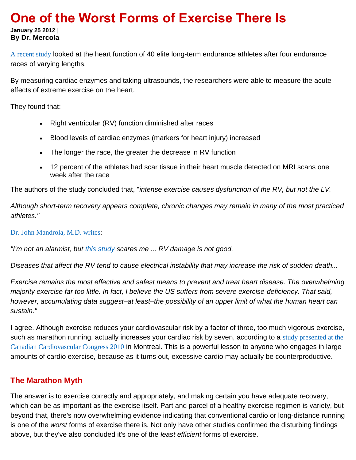## **One of the Worst Forms of Exercise There Is**

**January 25 2012 | By Dr. Mercola**

[A recent study](http://eurheartj.oxfordjournals.org/content/early/2011/12/05/eurheartj.ehr397.abstract) looked at the heart function of 40 elite long-term endurance athletes after four endurance races of varying lengths.

By measuring cardiac enzymes and taking ultrasounds, the researchers were able to measure the acute effects of extreme exercise on the heart.

They found that:

- Right ventricular (RV) function diminished after races
- Blood levels of cardiac enzymes (markers for heart injury) increased
- The longer the race, the greater the decrease in RV function
- 12 percent of the athletes had scar tissue in their heart muscle detected on MRI scans one week after the race

The authors of the study concluded that, "*intense exercise causes dysfunction of the RV, but not the LV.* 

*Although short-term recovery appears complete, chronic changes may remain in many of the most practiced athletes."*

[Dr. John Mandrola, M.D. writes](http://getbetterhealth.com/research-suggests-more-damaging-effects-of-endurance-exercise-on-the-heart/2011.12.18):

*"I'm not an alarmist, but [this study](http://eurheartj.oxfordjournals.org/content/early/2011/12/05/eurheartj.ehr397.abstract) scares me ... RV damage is not good.* 

*Diseases that affect the RV tend to cause electrical instability that may increase the risk of sudden death...* 

*Exercise remains the most effective and safest means to prevent and treat heart disease. The overwhelming majority exercise far too little. In fact, I believe the US suffers from severe exercise-deficiency. That said, however, accumulating data suggest–at least–the possibility of an upper limit of what the human heart can sustain."*

I agree. Although exercise reduces your cardiovascular risk by a factor of three, too much vigorous exercise, such as marathon running, actually increases your cardiac risk by seven, according to a study presented at the [Canadian Cardiovascular Congress 2010](http://www.livescience.com/10211-temporary-heart-damage-explain-marathon-deaths.html) in Montreal. This is a powerful lesson to anyone who engages in large amounts of cardio exercise, because as it turns out, excessive cardio may actually be counterproductive.

#### **The Marathon Myth**

The answer is to exercise correctly and appropriately, and making certain you have adequate recovery, which can be as important as the exercise itself. Part and parcel of a healthy exercise regimen is variety, but beyond that, there's now overwhelming evidence indicating that conventional cardio or long-distance running is one of the *worst* forms of exercise there is. Not only have other studies confirmed the disturbing findings above, but they've also concluded it's one of the *least efficient* forms of exercise.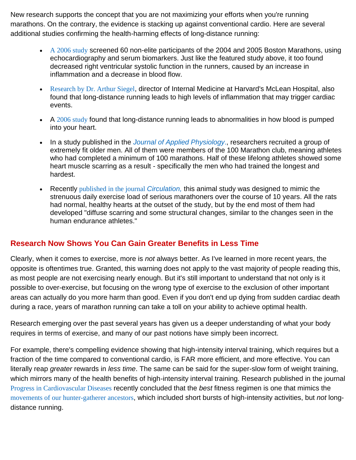New research supports the concept that you are not maximizing your efforts when you're running marathons. On the contrary, the evidence is stacking up against conventional cardio. Here are several additional studies confirming the health-harming effects of long-distance running:

- [A 2006 study](http://circ.ahajournals.org/content/114/22/2325.abstract) screened 60 non-elite participants of the 2004 and 2005 Boston Marathons, using echocardiography and serum biomarkers. Just like the featured study above, it too found decreased right ventricular systolic function in the runners, caused by an increase in inflammation and a decrease in blood flow.
- [Research by Dr. Arthur Siegel](http://www.ncbi.nlm.nih.gov/pubmed/11676965), director of Internal Medicine at Harvard's McLean Hospital, also found that long-distance running leads to high levels of inflammation that may trigger cardiac events.
- $\blacktriangleright$  A [2006 study](http://circ.ahajournals.org/cgi/content/abstract/114/22/2325) found that long-distance running leads to abnormalities in how blood is pumped into your heart.
- In a study published in the *[Journal of Applied Physiology](http://www.ncbi.nlm.nih.gov/pubmed/21330616)*., researchers recruited a group of extremely fit older men. All of them were members of the 100 Marathon club, meaning athletes who had completed a minimum of 100 marathons. Half of these lifelong athletes showed some heart muscle scarring as a result - specifically the men who had trained the longest and hardest.
- Recently [published in the journal](http://circ.ahajournals.org/cgi/content/short/123/1/13) *Circulation,* this animal study was designed to mimic the strenuous daily exercise load of serious marathoners over the course of 10 years. All the rats had normal, healthy hearts at the outset of the study, but by the end most of them had developed "diffuse scarring and some structural changes, similar to the changes seen in the human endurance athletes."

#### **Research Now Shows You Can Gain Greater Benefits in Less Time**

Clearly, when it comes to exercise, more is *not* always better. As I've learned in more recent years, the opposite is oftentimes true. Granted, this warning does not apply to the vast majority of people reading this, as most people are not exercising nearly enough. But it's still important to understand that not only is it possible to over-exercise, but focusing on the wrong type of exercise to the exclusion of other important areas can actually do you more harm than good. Even if you don't end up dying from sudden cardiac death during a race, years of marathon running can take a toll on your ability to achieve optimal health.

Research emerging over the past several years has given us a deeper understanding of what your body requires in terms of exercise, and many of our past notions have simply been incorrect.

For example, there's compelling evidence showing that high-intensity interval training, which requires but a fraction of the time compared to conventional cardio, is FAR more efficient, and more effective. You can literally reap *greater* rewards in *less time*. The same can be said for the super-slow form of weight training, which mirrors many of the health benefits of high-intensity interval training. Research published in the journal [Progress in Cardiovascular Diseases](http://thepaleodiet.com/published-research) recently concluded that the *best* fitness regimen is one that mimics the [movements of our hunter-gatherer ancestors](http://fitness.mercola.com/sites/fitness/archive/2011/06/09/move-like-a-huntergatherer-live-longer.aspx), which included short bursts of high-intensity activities, but *not* longdistance running.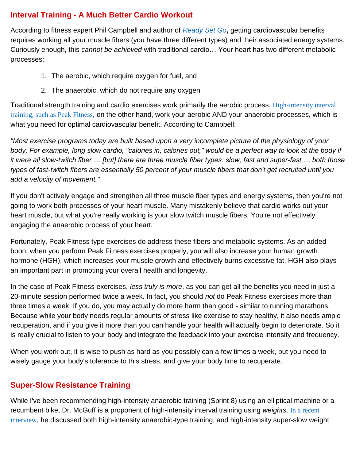#### **Interval Training - A Much Better Cardio Workout**

According to fitness expert Phil Campbell and author of *[Ready Set Go](http://www.readysetgofitness.com/01_af.shtml)***,** getting cardiovascular benefits requires working all your muscle fibers (you have three different types) and their associated energy systems. Curiously enough, this *cannot be achieved* with traditional cardio… Your heart has two different metabolic processes:

- 1. The aerobic, which require oxygen for fuel, and
- 2. The anaerobic, which do not require any oxygen

Traditional strength training and cardio exercises work primarily the aerobic process. [High-intensity interval](http://fitness.mercola.com/sites/fitness/archive/2010/06/26/10-minutes-of-exercise-yields-hourlong-effects.aspx)  [training, such as Peak Fitness](http://fitness.mercola.com/sites/fitness/archive/2010/06/26/10-minutes-of-exercise-yields-hourlong-effects.aspx), on the other hand, work your aerobic AND your anaerobic processes, which is what you need for optimal cardiovascular benefit. According to Campbell:

*"Most exercise programs today are built based upon a very incomplete picture of the physiology of your*  body. For example, long slow cardio, "calories in, calories out," would be a perfect way to look at the body if *it were all slow-twitch fiber … [but] there are three muscle fiber types: slow, fast and super-fast … both those types of fast-twitch fibers are essentially 50 percent of your muscle fibers that don't get recruited until you add a velocity of movement."*

If you don't actively engage and strengthen all three muscle fiber types and energy systems, then you're not going to work both processes of your heart muscle. Many mistakenly believe that cardio works out your heart muscle, but what you're really working is your slow twitch muscle fibers. You're not effectively engaging the anaerobic process of your heart.

Fortunately, Peak Fitness type exercises do address these fibers and metabolic systems. As an added boon, when you perform Peak Fitness exercises properly, you will also increase your human growth hormone (HGH), which increases your muscle growth and effectively burns excessive fat. HGH also plays an important part in promoting your overall health and longevity.

In the case of Peak Fitness exercises, *less truly is more*, as you can get all the benefits you need in just a 20-minute session performed twice a week. In fact, you should *not* do Peak Fitness exercises more than three times a week. If you do, you may actually do more harm than good - similar to running marathons. Because while your body needs regular amounts of stress like exercise to stay healthy, it also needs ample recuperation, and if you give it more than you can handle your health will actually begin to deteriorate. So it is really crucial to listen to your body and integrate the feedback into your exercise intensity and frequency.

When you work out, it is wise to push as hard as you possibly can a few times a week, but you need to wisely gauge your body's tolerance to this stress, and give your body time to recuperate.

## **Super-Slow Resistance Training**

While I've been recommending high-intensity anaerobic training (Sprint 8) using an elliptical machine or a recumbent bike, Dr. McGuff is a proponent of high-intensity interval training using *weights*. [In a recent](http://fitness.mercola.com/sites/fitness/archive/2012/01/06/dr-doug-mcguff-on-exercise.aspx)  [interview](http://fitness.mercola.com/sites/fitness/archive/2012/01/06/dr-doug-mcguff-on-exercise.aspx), he discussed both high-intensity anaerobic-type training, and high-intensity super-slow weight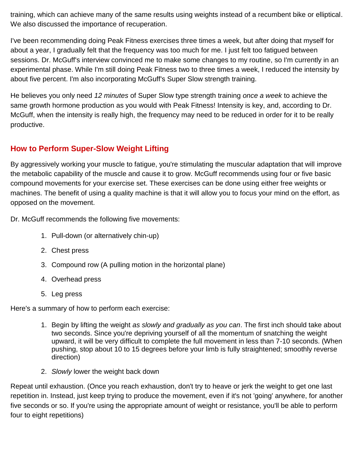training, which can achieve many of the same results using weights instead of a recumbent bike or elliptical. We also discussed the importance of recuperation.

I've been recommending doing Peak Fitness exercises three times a week, but after doing that myself for about a year, I gradually felt that the frequency was too much for me. I just felt too fatigued between sessions. Dr. McGuff's interview convinced me to make some changes to my routine, so I'm currently in an experimental phase. While I'm still doing Peak Fitness two to three times a week, I reduced the intensity by about five percent. I'm also incorporating McGuff's Super Slow strength training.

He believes you only need *12 minutes* of Super Slow type strength training *once a week* to achieve the same growth hormone production as you would with Peak Fitness! Intensity is key, and, according to Dr. McGuff, when the intensity is really high, the frequency may need to be reduced in order for it to be really productive.

#### **How to Perform Super-Slow Weight Lifting**

By aggressively working your muscle to fatigue, you're stimulating the muscular adaptation that will improve the metabolic capability of the muscle and cause it to grow. McGuff recommends using four or five basic compound movements for your exercise set. These exercises can be done using either free weights or machines. The benefit of using a quality machine is that it will allow you to focus your mind on the effort, as opposed on the movement.

Dr. McGuff recommends the following five movements:

- 1. Pull-down (or alternatively chin-up)
- 2. Chest press
- 3. Compound row (A pulling motion in the horizontal plane)
- 4. Overhead press
- 5. Leg press

Here's a summary of how to perform each exercise:

- 1. Begin by lifting the weight *as slowly and gradually as you can*. The first inch should take about two seconds. Since you're depriving yourself of all the momentum of snatching the weight upward, it will be very difficult to complete the full movement in less than 7-10 seconds. (When pushing, stop about 10 to 15 degrees before your limb is fully straightened; smoothly reverse direction)
- 2. *Slowly* lower the weight back down

Repeat until exhaustion. (Once you reach exhaustion, don't try to heave or jerk the weight to get one last repetition in. Instead, just keep trying to produce the movement, even if it's not 'going' anywhere, for another five seconds or so. If you're using the appropriate amount of weight or resistance, you'll be able to perform four to eight repetitions)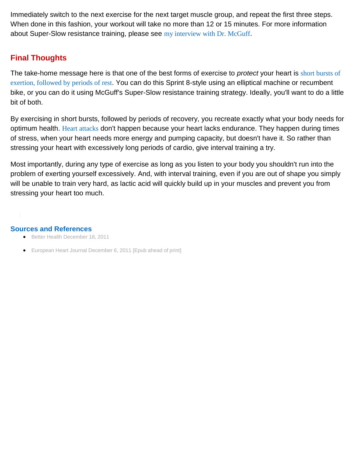Immediately switch to the next exercise for the next target muscle group, and repeat the first three steps. When done in this fashion, your workout will take no more than 12 or 15 minutes. For more information about Super-Slow resistance training, please see [my interview with Dr. McGuff](http://fitness.mercola.com/sites/fitness/archive/2012/01/06/dr-doug-mcguff-on-exercise.aspx).

#### **Final Thoughts**

The take-home message here is that one of the best forms of exercise to *protect* your heart is [short bursts of](http://articles.mercola.com/sites/articles/archive/2007/07/20/want-to-burn-more-fat-during-exercise-take-a-break.aspx?PageIndex=2)  [exertion, followed by periods of rest](http://articles.mercola.com/sites/articles/archive/2007/07/20/want-to-burn-more-fat-during-exercise-take-a-break.aspx?PageIndex=2). You can do this Sprint 8-style using an elliptical machine or recumbent bike, or you can do it using McGuff's Super-Slow resistance training strategy. Ideally, you'll want to do a little bit of both.

By exercising in short bursts, followed by periods of recovery, you recreate exactly what your body needs for optimum health. [Heart attacks](http://articles.mercola.com/sites/articles/archive/2007/07/20/heart-attack-triggers-you-should-know.aspx) don't happen because your heart lacks endurance. They happen during times of stress, when your heart needs more energy and pumping capacity, but doesn't have it. So rather than stressing your heart with excessively long periods of cardio, give interval training a try.

Most importantly, during any type of exercise as long as you listen to your body you shouldn't run into the problem of exerting yourself excessively. And, with interval training, even if you are out of shape you simply will be unable to train very hard, as lactic acid will quickly build up in your muscles and prevent you from stressing your heart too much.

#### **Sources and References**

- [Better Health December 18, 2011](http://getbetterhealth.com/research-suggests-more-damaging-effects-of-endurance-exercise-on-the-heart/2011.12.18)
- [European Heart Journal December 6, 2011 \[Epub ahead of print\]](http://eurheartj.oxfordjournals.org/content/early/2011/12/05/eurheartj.ehr397.abstract)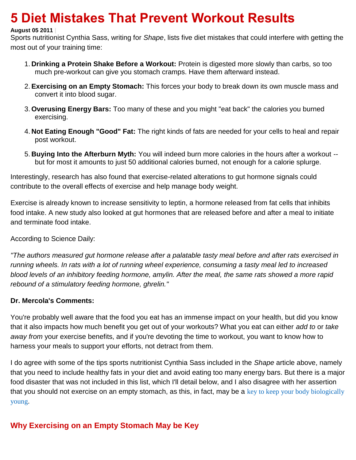## **5 Diet Mistakes That Prevent Workout Results**

#### **August 05 2011 |**

Sports nutritionist Cynthia Sass, writing for *Shape*, lists five diet mistakes that could interfere with getting the most out of your training time:

- 1. **Drinking a Protein Shake Before a Workout:** Protein is digested more slowly than carbs, so too much pre-workout can give you stomach cramps. Have them afterward instead.
- 2.**Exercising on an Empty Stomach:** This forces your body to break down its own muscle mass and convert it into blood sugar.
- 3. **Overusing Energy Bars:** Too many of these and you might "eat back" the calories you burned exercising.
- 4. **Not Eating Enough "Good" Fat:** The right kinds of fats are needed for your cells to heal and repair post workout.
- 5. **Buying Into the Afterburn Myth:** You will indeed burn more calories in the hours after a workout but for most it amounts to just 50 additional calories burned, not enough for a calorie splurge.

Interestingly, research has also found that exercise-related alterations to gut hormone signals could contribute to the overall effects of exercise and help manage body weight.

Exercise is already known to increase sensitivity to leptin, a hormone released from fat cells that inhibits food intake. A new study also looked at gut hormones that are released before and after a meal to initiate and terminate food intake.

According to Science Daily:

*"The authors measured gut hormone release after a palatable tasty meal before and after rats exercised in running wheels. In rats with a lot of running wheel experience, consuming a tasty meal led to increased blood levels of an inhibitory feeding hormone, amylin. After the meal, the same rats showed a more rapid rebound of a stimulatory feeding hormone, ghrelin."*

#### **Dr. Mercola's Comments:**

You're probably well aware that the food you eat has an immense impact on your health, but did you know that it also impacts how much benefit you get out of your workouts? What you eat can either *add to* or *take away from* your exercise benefits, and if you're devoting the time to workout, you want to know how to harness your meals to support your efforts, not detract from them.

I do agree with some of the tips sports nutritionist Cynthia Sass included in the *Shape* article above, namely that you need to include healthy fats in your diet and avoid eating too many energy bars. But there is a major food disaster that was not included in this list, which I'll detail below, and I also disagree with her assertion that you should not exercise on an empty stomach, as this, in fact, may be a [key to keep your body biologically](http://articles.mercola.com/sites/articles/archive/2011/06/19/innovative-revolutionary-program-to-keep-your-body-biologically-young.aspx) [young](http://articles.mercola.com/sites/articles/archive/2011/06/19/innovative-revolutionary-program-to-keep-your-body-biologically-young.aspx).

#### **Why Exercising on an Empty Stomach May be Key**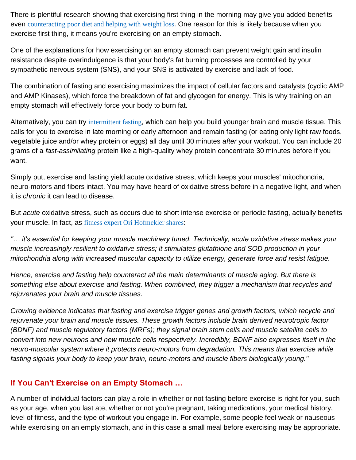There is plentiful research showing that exercising first thing in the morning may give you added benefits - even [counteracting poor diet and](http://www.ncbi.nlm.nih.gov/pubmed/20837645) helping with weight loss. One reason for this is likely because when you exercise first thing, it means you're exercising on an empty stomach.

One of the explanations for how exercising on an empty stomach can prevent weight gain and insulin resistance despite overindulgence is that your body's fat burning processes are controlled by your sympathetic nervous system (SNS), and your SNS is activated by exercise and lack of food.

The combination of fasting and exercising maximizes the impact of cellular factors and catalysts (cyclic AMP and AMP Kinases), which force the breakdown of fat and glycogen for energy. This is why training on an empty stomach will effectively force your body to burn fat.

Alternatively, you can try [intermittent fasting](http://articles.mercola.com/sites/articles/archive/2011/06/19/innovative-revolutionary-program-to-keep-your-body-biologically-young.aspx), which can help you build younger brain and muscle tissue. This calls for you to exercise in late morning or early afternoon and remain fasting (or eating only light raw foods, vegetable juice and/or whey protein or eggs) all day until 30 minutes *after* your workout. You can include 20 grams of a *fast-assimilating* protein like a high-quality whey protein concentrate 30 minutes before if you want.

Simply put, exercise and fasting yield acute oxidative stress, which keeps your muscles' mitochondria, neuro-motors and fibers intact. You may have heard of oxidative stress before in a negative light, and when it is *chronic* it can lead to disease.

But *acute* oxidative stress, such as occurs due to short intense exercise or periodic fasting, actually benefits your muscle. In fact, as [fitness expert Ori Hofmekler shares](http://articles.mercola.com/sites/articles/archive/2011/06/19/innovative-revolutionary-program-to-keep-your-body-biologically-young.aspx):

*"… it's essential for keeping your muscle machinery tuned. Technically, acute oxidative stress makes your muscle increasingly resilient to oxidative stress; it stimulates glutathione and SOD production in your mitochondria along with increased muscular capacity to utilize energy, generate force and resist fatigue.*

*Hence, exercise and fasting help counteract all the main determinants of muscle aging. But there is something else about exercise and fasting. When combined, they trigger a mechanism that recycles and rejuvenates your brain and muscle tissues.*

*Growing evidence indicates that fasting and exercise trigger genes and growth factors, which recycle and rejuvenate your brain and muscle tissues. These growth factors include brain derived neurotropic factor (BDNF) and muscle regulatory factors (MRFs); they signal brain stem cells and muscle satellite cells to convert into new neurons and new muscle cells respectively. Incredibly, BDNF also expresses itself in the neuro-muscular system where it protects neuro-motors from degradation. This means that exercise while fasting signals your body to keep your brain, neuro-motors and muscle fibers biologically young."*

#### **If You Can't Exercise on an Empty Stomach …**

A number of individual factors can play a role in whether or not fasting before exercise is right for you, such as your age, when you last ate, whether or not you're pregnant, taking medications, your medical history, level of fitness, and the type of workout you engage in. For example, some people feel weak or nauseous while exercising on an empty stomach, and in this case a small meal before exercising may be appropriate.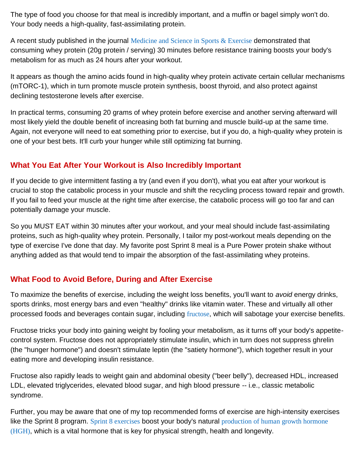The type of food you choose for that meal is incredibly important, and a muffin or bagel simply won't do. Your body needs a high-quality, fast-assimilating protein.

A recent study published in the journal [Medicine and Science in Sports & Exercise](http://journals.lww.com/acsm-msse/Abstract/2010/05000/Timing_Protein_Intake_Increases_Energy_Expenditure.21.aspx) demonstrated that consuming whey protein (20g protein / serving) 30 minutes before resistance training boosts your body's metabolism for as much as 24 hours after your workout.

It appears as though the amino acids found in high-quality whey protein activate certain cellular mechanisms (mTORC-1), which in turn promote muscle protein synthesis, boost thyroid, and also protect against declining testosterone levels after exercise.

In practical terms, consuming 20 grams of whey protein before exercise and another serving afterward will most likely yield the double benefit of increasing both fat burning and muscle build-up at the same time. Again, not everyone will need to eat something prior to exercise, but if you do, a high-quality whey protein is one of your best bets. It'll curb your hunger while still optimizing fat burning.

#### **What You Eat After Your Workout is Also Incredibly Important**

If you decide to give intermittent fasting a try (and even if you don't), what you eat after your workout is crucial to stop the catabolic process in your muscle and shift the recycling process toward repair and growth. If you fail to feed your muscle at the right time after exercise, the catabolic process will go too far and can potentially damage your muscle.

So you MUST EAT within 30 minutes after your workout, and your meal should include fast-assimilating proteins, such as high-quality whey protein. Personally, I tailor my post-workout meals depending on the type of exercise I've done that day. My favorite post Sprint 8 meal is a Pure Power protein shake without anything added as that would tend to impair the absorption of the fast-assimilating whey proteins.

## **What Food to Avoid Before, During and After Exercise**

To maximize the benefits of exercise, including the weight loss benefits, you'll want to *avoid* energy drinks, sports drinks, most energy bars and even "healthy" drinks like vitamin water. These and virtually all other processed foods and beverages contain sugar, including [fructose](http://articles.mercola.com/sites/articles/archive/2010/01/02/highfructose-corn-syrup-alters-human-metabolism.aspx), which will sabotage your exercise benefits.

Fructose tricks your body into gaining weight by fooling your metabolism, as it turns off your body's appetitecontrol system. Fructose does not appropriately stimulate insulin, which in turn does not suppress ghrelin (the "hunger hormone") and doesn't stimulate leptin (the "satiety hormone"), which together result in your eating more and developing insulin resistance.

Fructose also rapidly leads to weight gain and abdominal obesity ("beer belly"), decreased HDL, increased LDL, elevated triglycerides, elevated blood sugar, and high blood pressure -- i.e., classic metabolic syndrome.

Further, you may be aware that one of my top recommended forms of exercise are high-intensity exercises like the Sprint 8 program. [Sprint 8 exercises](http://fitness.mercola.com/sites/fitness/archive/2010/11/13/phil-campbell-on-peak-8-exercises.aspx) boost your body's natural production of human growth hormone [\(HGH\)](http://fitness.mercola.com/sites/fitness/archive/2010/12/24/a-fountain-of-youth-in-your-muscles.aspx), which is a vital hormone that is key for physical strength, health and longevity.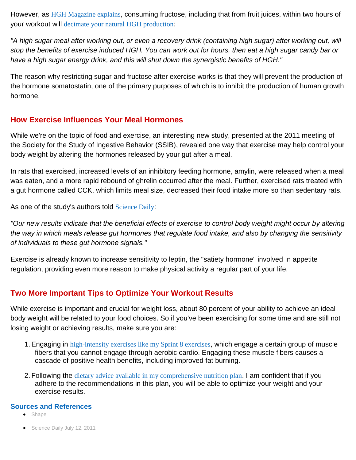However, as [HGH Magazine explains](http://www.hghmagazine.com/2-habits-that-immediately-stop-your-natural-hgh-production/), consuming fructose, including that from fruit juices, within two hours of your workout will [decimate your natural HGH production](http://fitness.mercola.com/sites/fitness/archive/2010/07/27/the-growing-promise-of-shorter-more-intense-strength-training-workouts.aspx):

*"A high sugar meal after working out, or even a recovery drink (containing high sugar) after working out, will stop the benefits of exercise induced HGH. You can work out for hours, then eat a high sugar candy bar or have a high sugar energy drink, and this will shut down the synergistic benefits of HGH."*

The reason why restricting sugar and fructose after exercise works is that they will prevent the production of the hormone somatostatin, one of the primary purposes of which is to inhibit the production of human growth hormone.

#### **How Exercise Influences Your Meal Hormones**

While we're on the topic of food and exercise, an interesting new study, presented at the 2011 meeting of the Society for the Study of Ingestive Behavior (SSIB), revealed one way that exercise may help control your body weight by altering the hormones released by your gut after a meal.

In rats that exercised, increased levels of an inhibitory feeding hormone, amylin, were released when a meal was eaten, and a more rapid rebound of ghrelin occurred after the meal. Further, exercised rats treated with a gut hormone called CCK, which limits meal size, decreased their food intake more so than sedentary rats.

As one of the study's authors told [Science Daily](http://www.sciencedaily.com/releases/2011/07/110712094048.htm):

*"Our new results indicate that the beneficial effects of exercise to control body weight might occur by altering the way in which meals release gut hormones that regulate food intake, and also by changing the sensitivity of individuals to these gut hormone signals."*

Exercise is already known to increase sensitivity to leptin, the "satiety hormone" involved in appetite regulation, providing even more reason to make physical activity a regular part of your life.

## **Two More Important Tips to Optimize Your Workout Results**

While exercise is important and crucial for weight loss, about 80 percent of your ability to achieve an ideal body weight will be related to your food choices. So if you've been exercising for some time and are still not losing weight or achieving results, make sure you are:

- 1.Engaging in [high-intensity exercises like my Sprint 8 exercises](http://fitness.mercola.com/sites/fitness/archive/2010/11/13/phil-campbell-on-peak-8-exercises.aspx), which engage a certain group of muscle fibers that you cannot engage through aerobic cardio. Engaging these muscle fibers causes a cascade of positive health benefits, including improved fat burning.
- 2. Following the [dietary advice available in my comprehensive nutrition plan](http://www.mercola.com/nutritionplan/index.htm). I am confident that if you adhere to the recommendations in this plan, you will be able to optimize your weight and your exercise results.

#### **Sources and References**

- [Shape](http://www.shape.com/healthy-eating/5-diet-mistakes-that-prevent-workout-results)
- [Science Daily July 12, 2011](http://www.sciencedaily.com/releases/2011/07/110712094048.htm)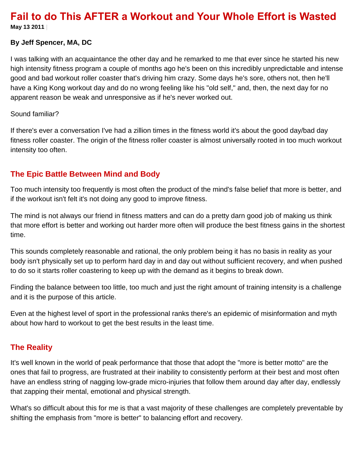# **Fail to do This AFTER a Workout and Your Whole Effort is Wasted**

**May 13 2011 |**

#### **By Jeff Spencer, MA, DC**

I was talking with an acquaintance the other day and he remarked to me that ever since he started his new high intensity fitness program a couple of months ago he's been on this incredibly unpredictable and intense good and bad workout roller coaster that's driving him crazy. Some days he's sore, others not, then he'll have a King Kong workout day and do no wrong feeling like his "old self," and, then, the next day for no apparent reason be weak and unresponsive as if he's never worked out.

#### Sound familiar?

If there's ever a conversation I've had a zillion times in the fitness world it's about the good day/bad day fitness roller coaster. The origin of the fitness roller coaster is almost universally rooted in too much workout intensity too often.

#### **The Epic Battle Between Mind and Body**

Too much intensity too frequently is most often the product of the mind's false belief that more is better, and if the workout isn't felt it's not doing any good to improve fitness.

The mind is not always our friend in fitness matters and can do a pretty darn good job of making us think that more effort is better and working out harder more often will produce the best fitness gains in the shortest time.

This sounds completely reasonable and rational, the only problem being it has no basis in reality as your body isn't physically set up to perform hard day in and day out without sufficient recovery, and when pushed to do so it starts roller coastering to keep up with the demand as it begins to break down.

Finding the balance between too little, too much and just the right amount of training intensity is a challenge and it is the purpose of this article.

Even at the highest level of sport in the professional ranks there's an epidemic of misinformation and myth about how hard to workout to get the best results in the least time.

#### **The Reality**

It's well known in the world of peak performance that those that adopt the "more is better motto" are the ones that fail to progress, are frustrated at their inability to consistently perform at their best and most often have an endless string of nagging low-grade micro-injuries that follow them around day after day, endlessly that zapping their mental, emotional and physical strength.

What's so difficult about this for me is that a vast majority of these challenges are completely preventable by shifting the emphasis from "more is better" to balancing effort and recovery.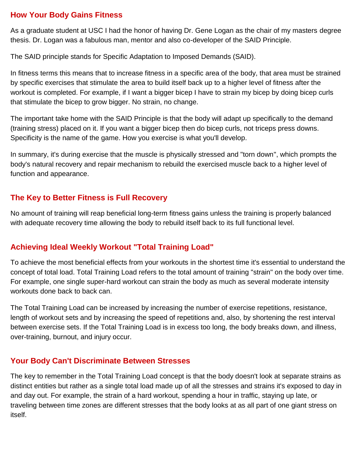#### **How Your Body Gains Fitness**

As a graduate student at USC I had the honor of having Dr. Gene Logan as the chair of my masters degree thesis. Dr. Logan was a fabulous man, mentor and also co-developer of the SAID Principle.

The SAID principle stands for Specific Adaptation to Imposed Demands (SAID).

In fitness terms this means that to increase fitness in a specific area of the body, that area must be strained by specific exercises that stimulate the area to build itself back up to a higher level of fitness after the workout is completed. For example, if I want a bigger bicep I have to strain my bicep by doing bicep curls that stimulate the bicep to grow bigger. No strain, no change.

The important take home with the SAID Principle is that the body will adapt up specifically to the demand (training stress) placed on it. If you want a bigger bicep then do bicep curls, not triceps press downs. Specificity is the name of the game. How you exercise is what you'll develop.

In summary, it's during exercise that the muscle is physically stressed and "torn down", which prompts the body's natural recovery and repair mechanism to rebuild the exercised muscle back to a higher level of function and appearance.

## **The Key to Better Fitness is Full Recovery**

No amount of training will reap beneficial long-term fitness gains unless the training is properly balanced with adequate recovery time allowing the body to rebuild itself back to its full functional level.

## **Achieving Ideal Weekly Workout "Total Training Load"**

To achieve the most beneficial effects from your workouts in the shortest time it's essential to understand the concept of total load. Total Training Load refers to the total amount of training "strain" on the body over time. For example, one single super-hard workout can strain the body as much as several moderate intensity workouts done back to back can.

The Total Training Load can be increased by increasing the number of exercise repetitions, resistance, length of workout sets and by increasing the speed of repetitions and, also, by shortening the rest interval between exercise sets. If the Total Training Load is in excess too long, the body breaks down, and illness, over-training, burnout, and injury occur.

#### **Your Body Can't Discriminate Between Stresses**

The key to remember in the Total Training Load concept is that the body doesn't look at separate strains as distinct entities but rather as a single total load made up of all the stresses and strains it's exposed to day in and day out. For example, the strain of a hard workout, spending a hour in traffic, staying up late, or traveling between time zones are different stresses that the body looks at as all part of one giant stress on itself.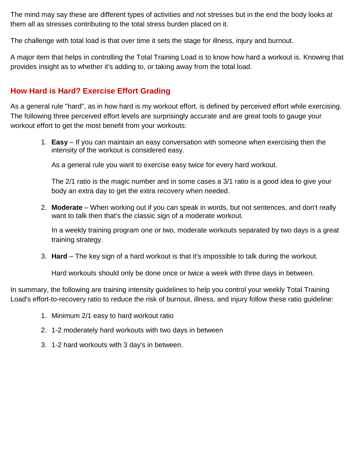The mind may say these are different types of activities and not stresses but in the end the body looks at them all as stresses contributing to the total stress burden placed on it.

The challenge with total load is that over time it sets the stage for illness, injury and burnout.

A major item that helps in controlling the Total Training Load is to know how hard a workout is. Knowing that provides insight as to whether it's adding to, or taking away from the total load.

#### **How Hard is Hard? Exercise Effort Grading**

As a general rule "hard", as in how hard is my workout effort, is defined by perceived effort while exercising. The following three perceived effort levels are surprisingly accurate and are great tools to gauge your workout effort to get the most benefit from your workouts:

1. **Easy** – If you can maintain an easy conversation with someone when exercising then the intensity of the workout is considered easy.

As a general rule you want to exercise easy twice for every hard workout.

The 2/1 ratio is the magic number and in some cases a 3/1 ratio is a good idea to give your body an extra day to get the extra recovery when needed.

2. **Moderate** – When working out if you can speak in words, but not sentences, and don't really want to talk then that's the classic sign of a moderate workout.

In a weekly training program one or two, moderate workouts separated by two days is a great training strategy.

3. **Hard** – The key sign of a hard workout is that it's impossible to talk during the workout.

Hard workouts should only be done once or twice a week with three days in between.

In summary, the following are training intensity guidelines to help you control your weekly Total Training Load's effort-to-recovery ratio to reduce the risk of burnout, illness, and injury follow these ratio guideline:

- 1. Minimum 2/1 easy to hard workout ratio
- 2. 1-2 moderately hard workouts with two days in between
- 3. 1-2 hard workouts with 3 day's in between.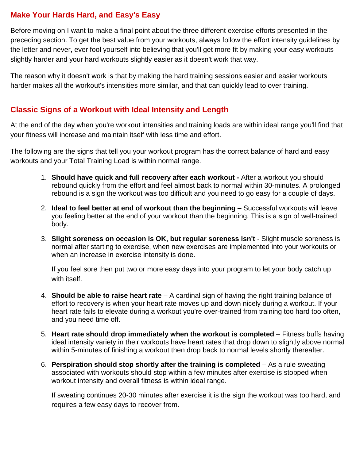#### **Make Your Hards Hard, and Easy's Easy**

Before moving on I want to make a final point about the three different exercise efforts presented in the preceding section. To get the best value from your workouts, always follow the effort intensity guidelines by the letter and never, ever fool yourself into believing that you'll get more fit by making your easy workouts slightly harder and your hard workouts slightly easier as it doesn't work that way.

The reason why it doesn't work is that by making the hard training sessions easier and easier workouts harder makes all the workout's intensities more similar, and that can quickly lead to over training.

#### **Classic Signs of a Workout with Ideal Intensity and Length**

At the end of the day when you're workout intensities and training loads are within ideal range you'll find that your fitness will increase and maintain itself with less time and effort.

The following are the signs that tell you your workout program has the correct balance of hard and easy workouts and your Total Training Load is within normal range.

- 1. **Should have quick and full recovery after each workout -** After a workout you should rebound quickly from the effort and feel almost back to normal within 30-minutes. A prolonged rebound is a sign the workout was too difficult and you need to go easy for a couple of days.
- 2. **Ideal to feel better at end of workout than the beginning –** Successful workouts will leave you feeling better at the end of your workout than the beginning. This is a sign of well-trained body.
- 3. **Slight soreness on occasion is OK, but regular soreness isn't** Slight muscle soreness is normal after starting to exercise, when new exercises are implemented into your workouts or when an increase in exercise intensity is done.

If you feel sore then put two or more easy days into your program to let your body catch up with itself.

- 4. **Should be able to raise heart rate** A cardinal sign of having the right training balance of effort to recovery is when your heart rate moves up and down nicely during a workout. If your heart rate fails to elevate during a workout you're over-trained from training too hard too often, and you need time off.
- 5. **Heart rate should drop immediately when the workout is completed**  Fitness buffs having ideal intensity variety in their workouts have heart rates that drop down to slightly above normal within 5-minutes of finishing a workout then drop back to normal levels shortly thereafter.
- 6. **Perspiration should stop shortly after the training is completed** As a rule sweating associated with workouts should stop within a few minutes after exercise is stopped when workout intensity and overall fitness is within ideal range.

If sweating continues 20-30 minutes after exercise it is the sign the workout was too hard, and requires a few easy days to recover from.